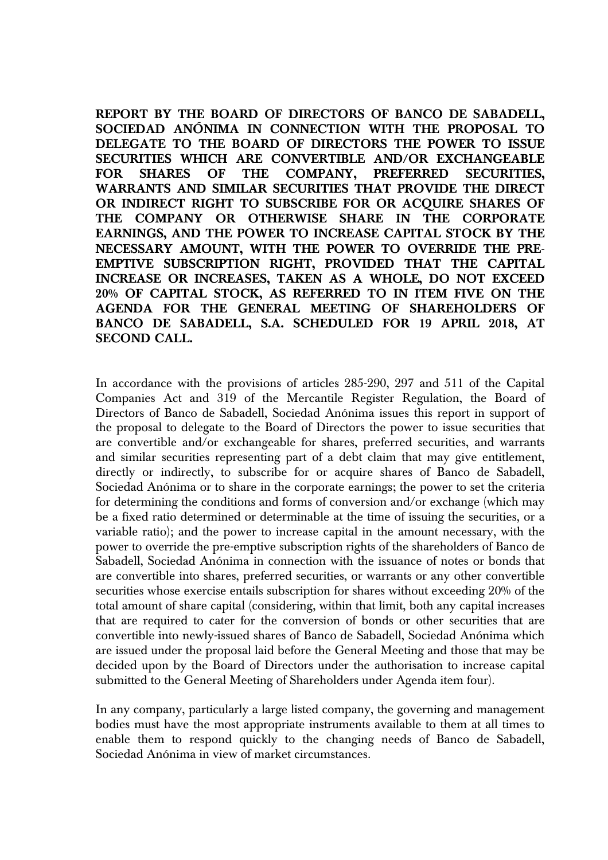**REPORT BY THE BOARD OF DIRECTORS OF BANCO DE SABADELL, SOCIEDAD ANÓNIMA IN CONNECTION WITH THE PROPOSAL TO DELEGATE TO THE BOARD OF DIRECTORS THE POWER TO ISSUE SECURITIES WHICH ARE CONVERTIBLE AND/OR EXCHANGEABLE FOR SHARES OF THE COMPANY, PREFERRED SECURITIES, WARRANTS AND SIMILAR SECURITIES THAT PROVIDE THE DIRECT OR INDIRECT RIGHT TO SUBSCRIBE FOR OR ACQUIRE SHARES OF THE COMPANY OR OTHERWISE SHARE IN THE CORPORATE EARNINGS, AND THE POWER TO INCREASE CAPITAL STOCK BY THE NECESSARY AMOUNT, WITH THE POWER TO OVERRIDE THE PRE-EMPTIVE SUBSCRIPTION RIGHT, PROVIDED THAT THE CAPITAL INCREASE OR INCREASES, TAKEN AS A WHOLE, DO NOT EXCEED 20% OF CAPITAL STOCK, AS REFERRED TO IN ITEM FIVE ON THE AGENDA FOR THE GENERAL MEETING OF SHAREHOLDERS OF BANCO DE SABADELL, S.A. SCHEDULED FOR 19 APRIL 2018, AT SECOND CALL.** 

In accordance with the provisions of articles 285-290, 297 and 511 of the Capital Companies Act and 319 of the Mercantile Register Regulation, the Board of Directors of Banco de Sabadell, Sociedad Anónima issues this report in support of the proposal to delegate to the Board of Directors the power to issue securities that are convertible and/or exchangeable for shares, preferred securities, and warrants and similar securities representing part of a debt claim that may give entitlement, directly or indirectly, to subscribe for or acquire shares of Banco de Sabadell, Sociedad Anónima or to share in the corporate earnings; the power to set the criteria for determining the conditions and forms of conversion and/or exchange (which may be a fixed ratio determined or determinable at the time of issuing the securities, or a variable ratio); and the power to increase capital in the amount necessary, with the power to override the pre-emptive subscription rights of the shareholders of Banco de Sabadell, Sociedad Anónima in connection with the issuance of notes or bonds that are convertible into shares, preferred securities, or warrants or any other convertible securities whose exercise entails subscription for shares without exceeding 20% of the total amount of share capital (considering, within that limit, both any capital increases that are required to cater for the conversion of bonds or other securities that are convertible into newly-issued shares of Banco de Sabadell, Sociedad Anónima which are issued under the proposal laid before the General Meeting and those that may be decided upon by the Board of Directors under the authorisation to increase capital submitted to the General Meeting of Shareholders under Agenda item four).

In any company, particularly a large listed company, the governing and management bodies must have the most appropriate instruments available to them at all times to enable them to respond quickly to the changing needs of Banco de Sabadell, Sociedad Anónima in view of market circumstances.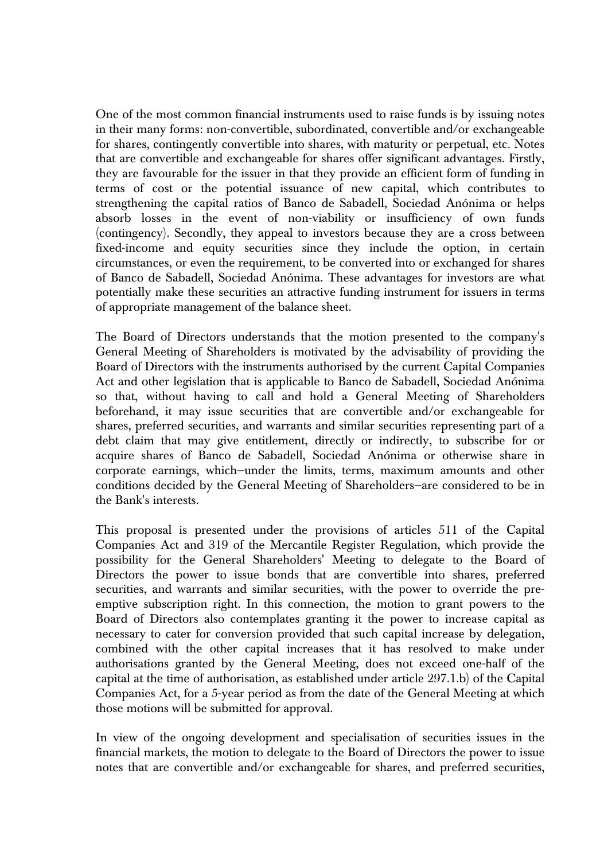One of the most common financial instruments used to raise funds is by issuing notes in their many forms: non-convertible, subordinated, convertible and/or exchangeable for shares, contingently convertible into shares, with maturity or perpetual, etc. Notes that are convertible and exchangeable for shares offer significant advantages. Firstly, they are favourable for the issuer in that they provide an efficient form of funding in terms of cost or the potential issuance of new capital, which contributes to strengthening the capital ratios of Banco de Sabadell, Sociedad Anónima or helps absorb losses in the event of non-viability or insufficiency of own funds (contingency). Secondly, they appeal to investors because they are a cross between fixed-income and equity securities since they include the option, in certain circumstances, or even the requirement, to be converted into or exchanged for shares of Banco de Sabadell, Sociedad Anónima. These advantages for investors are what potentially make these securities an attractive funding instrument for issuers in terms of appropriate management of the balance sheet.

The Board of Directors understands that the motion presented to the company's General Meeting of Shareholders is motivated by the advisability of providing the Board of Directors with the instruments authorised by the current Capital Companies Act and other legislation that is applicable to Banco de Sabadell, Sociedad Anónima so that, without having to call and hold a General Meeting of Shareholders beforehand, it may issue securities that are convertible and/or exchangeable for shares, preferred securities, and warrants and similar securities representing part of a debt claim that may give entitlement, directly or indirectly, to subscribe for or acquire shares of Banco de Sabadell, Sociedad Anónima or otherwise share in corporate earnings, which—under the limits, terms, maximum amounts and other conditions decided by the General Meeting of Shareholders—are considered to be in the Bank's interests.

This proposal is presented under the provisions of articles 511 of the Capital Companies Act and 319 of the Mercantile Register Regulation, which provide the possibility for the General Shareholders' Meeting to delegate to the Board of Directors the power to issue bonds that are convertible into shares, preferred securities, and warrants and similar securities, with the power to override the preemptive subscription right. In this connection, the motion to grant powers to the Board of Directors also contemplates granting it the power to increase capital as necessary to cater for conversion provided that such capital increase by delegation, combined with the other capital increases that it has resolved to make under authorisations granted by the General Meeting, does not exceed one-half of the capital at the time of authorisation, as established under article 297.1.b) of the Capital Companies Act, for a 5-year period as from the date of the General Meeting at which those motions will be submitted for approval.

In view of the ongoing development and specialisation of securities issues in the financial markets, the motion to delegate to the Board of Directors the power to issue notes that are convertible and/or exchangeable for shares, and preferred securities,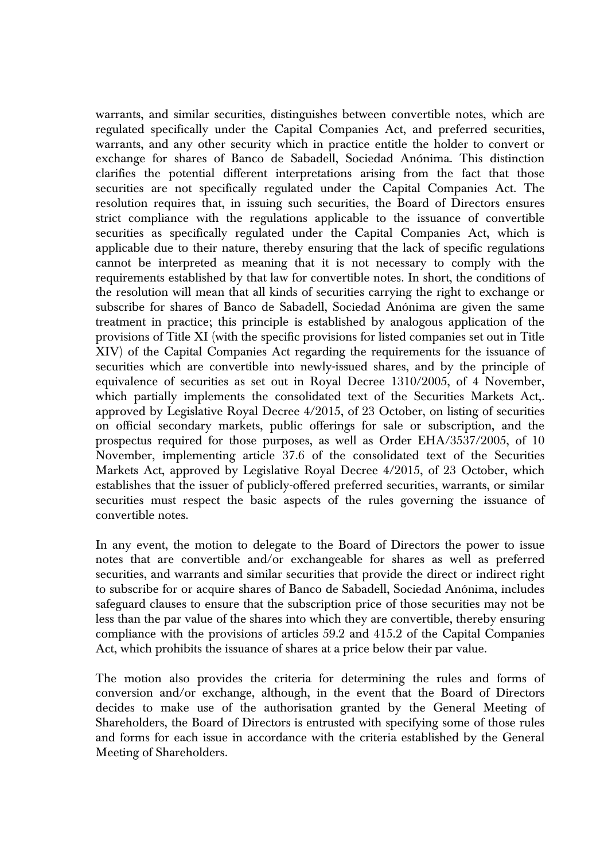warrants, and similar securities, distinguishes between convertible notes, which are regulated specifically under the Capital Companies Act, and preferred securities, warrants, and any other security which in practice entitle the holder to convert or exchange for shares of Banco de Sabadell, Sociedad Anónima. This distinction clarifies the potential different interpretations arising from the fact that those securities are not specifically regulated under the Capital Companies Act. The resolution requires that, in issuing such securities, the Board of Directors ensures strict compliance with the regulations applicable to the issuance of convertible securities as specifically regulated under the Capital Companies Act, which is applicable due to their nature, thereby ensuring that the lack of specific regulations cannot be interpreted as meaning that it is not necessary to comply with the requirements established by that law for convertible notes. In short, the conditions of the resolution will mean that all kinds of securities carrying the right to exchange or subscribe for shares of Banco de Sabadell, Sociedad Anónima are given the same treatment in practice; this principle is established by analogous application of the provisions of Title XI (with the specific provisions for listed companies set out in Title XIV) of the Capital Companies Act regarding the requirements for the issuance of securities which are convertible into newly-issued shares, and by the principle of equivalence of securities as set out in Royal Decree 1310/2005, of 4 November, which partially implements the consolidated text of the Securities Markets Act,. approved by Legislative Royal Decree 4/2015, of 23 October, on listing of securities on official secondary markets, public offerings for sale or subscription, and the prospectus required for those purposes, as well as Order EHA/3537/2005, of 10 November, implementing article 37.6 of the consolidated text of the Securities Markets Act, approved by Legislative Royal Decree 4/2015, of 23 October, which establishes that the issuer of publicly-offered preferred securities, warrants, or similar securities must respect the basic aspects of the rules governing the issuance of convertible notes.

In any event, the motion to delegate to the Board of Directors the power to issue notes that are convertible and/or exchangeable for shares as well as preferred securities, and warrants and similar securities that provide the direct or indirect right to subscribe for or acquire shares of Banco de Sabadell, Sociedad Anónima, includes safeguard clauses to ensure that the subscription price of those securities may not be less than the par value of the shares into which they are convertible, thereby ensuring compliance with the provisions of articles 59.2 and 415.2 of the Capital Companies Act, which prohibits the issuance of shares at a price below their par value.

The motion also provides the criteria for determining the rules and forms of conversion and/or exchange, although, in the event that the Board of Directors decides to make use of the authorisation granted by the General Meeting of Shareholders, the Board of Directors is entrusted with specifying some of those rules and forms for each issue in accordance with the criteria established by the General Meeting of Shareholders.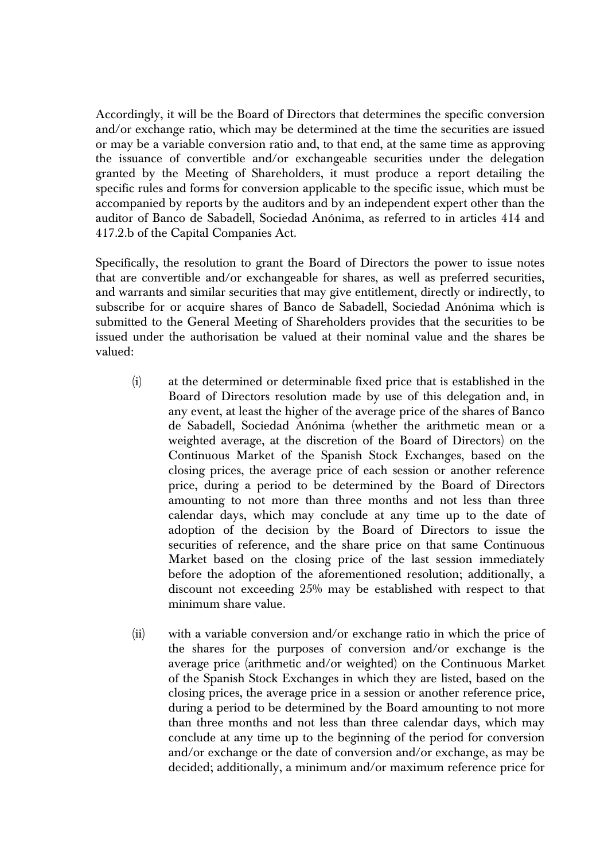Accordingly, it will be the Board of Directors that determines the specific conversion and/or exchange ratio, which may be determined at the time the securities are issued or may be a variable conversion ratio and, to that end, at the same time as approving the issuance of convertible and/or exchangeable securities under the delegation granted by the Meeting of Shareholders, it must produce a report detailing the specific rules and forms for conversion applicable to the specific issue, which must be accompanied by reports by the auditors and by an independent expert other than the auditor of Banco de Sabadell, Sociedad Anónima, as referred to in articles 414 and 417.2.b of the Capital Companies Act.

Specifically, the resolution to grant the Board of Directors the power to issue notes that are convertible and/or exchangeable for shares, as well as preferred securities, and warrants and similar securities that may give entitlement, directly or indirectly, to subscribe for or acquire shares of Banco de Sabadell, Sociedad Anónima which is submitted to the General Meeting of Shareholders provides that the securities to be issued under the authorisation be valued at their nominal value and the shares be valued:

- (i) at the determined or determinable fixed price that is established in the Board of Directors resolution made by use of this delegation and, in any event, at least the higher of the average price of the shares of Banco de Sabadell, Sociedad Anónima (whether the arithmetic mean or a weighted average, at the discretion of the Board of Directors) on the Continuous Market of the Spanish Stock Exchanges, based on the closing prices, the average price of each session or another reference price, during a period to be determined by the Board of Directors amounting to not more than three months and not less than three calendar days, which may conclude at any time up to the date of adoption of the decision by the Board of Directors to issue the securities of reference, and the share price on that same Continuous Market based on the closing price of the last session immediately before the adoption of the aforementioned resolution; additionally, a discount not exceeding 25% may be established with respect to that minimum share value.
- (ii) with a variable conversion and/or exchange ratio in which the price of the shares for the purposes of conversion and/or exchange is the average price (arithmetic and/or weighted) on the Continuous Market of the Spanish Stock Exchanges in which they are listed, based on the closing prices, the average price in a session or another reference price, during a period to be determined by the Board amounting to not more than three months and not less than three calendar days, which may conclude at any time up to the beginning of the period for conversion and/or exchange or the date of conversion and/or exchange, as may be decided; additionally, a minimum and/or maximum reference price for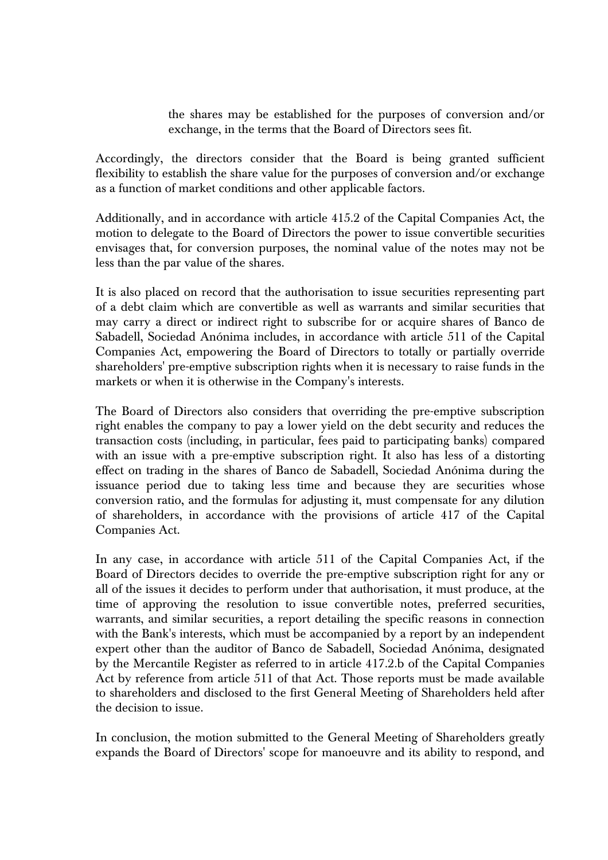the shares may be established for the purposes of conversion and/or exchange, in the terms that the Board of Directors sees fit.

Accordingly, the directors consider that the Board is being granted sufficient flexibility to establish the share value for the purposes of conversion and/or exchange as a function of market conditions and other applicable factors.

Additionally, and in accordance with article 415.2 of the Capital Companies Act, the motion to delegate to the Board of Directors the power to issue convertible securities envisages that, for conversion purposes, the nominal value of the notes may not be less than the par value of the shares.

It is also placed on record that the authorisation to issue securities representing part of a debt claim which are convertible as well as warrants and similar securities that may carry a direct or indirect right to subscribe for or acquire shares of Banco de Sabadell, Sociedad Anónima includes, in accordance with article 511 of the Capital Companies Act, empowering the Board of Directors to totally or partially override shareholders' pre-emptive subscription rights when it is necessary to raise funds in the markets or when it is otherwise in the Company's interests.

The Board of Directors also considers that overriding the pre-emptive subscription right enables the company to pay a lower yield on the debt security and reduces the transaction costs (including, in particular, fees paid to participating banks) compared with an issue with a pre-emptive subscription right. It also has less of a distorting effect on trading in the shares of Banco de Sabadell, Sociedad Anónima during the issuance period due to taking less time and because they are securities whose conversion ratio, and the formulas for adjusting it, must compensate for any dilution of shareholders, in accordance with the provisions of article 417 of the Capital Companies Act.

In any case, in accordance with article 511 of the Capital Companies Act, if the Board of Directors decides to override the pre-emptive subscription right for any or all of the issues it decides to perform under that authorisation, it must produce, at the time of approving the resolution to issue convertible notes, preferred securities, warrants, and similar securities, a report detailing the specific reasons in connection with the Bank's interests, which must be accompanied by a report by an independent expert other than the auditor of Banco de Sabadell, Sociedad Anónima, designated by the Mercantile Register as referred to in article 417.2.b of the Capital Companies Act by reference from article 511 of that Act. Those reports must be made available to shareholders and disclosed to the first General Meeting of Shareholders held after the decision to issue.

In conclusion, the motion submitted to the General Meeting of Shareholders greatly expands the Board of Directors' scope for manoeuvre and its ability to respond, and